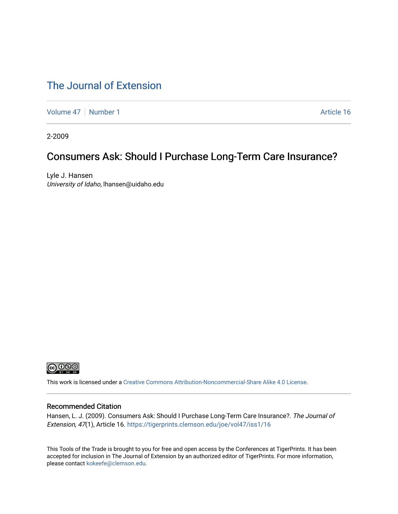### [The Journal of Extension](https://tigerprints.clemson.edu/joe)

[Volume 47](https://tigerprints.clemson.edu/joe/vol47) | [Number 1](https://tigerprints.clemson.edu/joe/vol47/iss1) Article 16

2-2009

### Consumers Ask: Should I Purchase Long-Term Care Insurance?

Lyle J. Hansen University of Idaho, lhansen@uidaho.edu



This work is licensed under a [Creative Commons Attribution-Noncommercial-Share Alike 4.0 License.](https://creativecommons.org/licenses/by-nc-sa/4.0/)

#### Recommended Citation

Hansen, L. J. (2009). Consumers Ask: Should I Purchase Long-Term Care Insurance?. The Journal of Extension, 47(1), Article 16. <https://tigerprints.clemson.edu/joe/vol47/iss1/16>

This Tools of the Trade is brought to you for free and open access by the Conferences at TigerPrints. It has been accepted for inclusion in The Journal of Extension by an authorized editor of TigerPrints. For more information, please contact [kokeefe@clemson.edu](mailto:kokeefe@clemson.edu).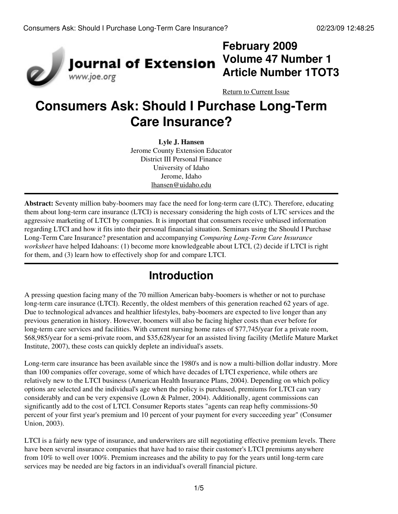

## **February 2009 Volume 47 Number 1 Article Number 1TOT3**

[Return to Current Issue](http://www.joe.org:80/joe/2009february/)

# **Consumers Ask: Should I Purchase Long-Term Care Insurance?**

**Lyle J. Hansen** Jerome County Extension Educator District III Personal Finance University of Idaho Jerome, Idaho [lhansen@uidaho.edu](http://www.joe.org:80/joe/2009february/lhansen@uidaho.edu)

**Abstract:** Seventy million baby-boomers may face the need for long-term care (LTC). Therefore, educating them about long-term care insurance (LTCI) is necessary considering the high costs of LTC services and the aggressive marketing of LTCI by companies. It is important that consumers receive unbiased information regarding LTCI and how it fits into their personal financial situation. Seminars using the Should I Purchase Long-Term Care Insurance? presentation and accompanying *Comparing Long-Term Care Insurance worksheet* have helped Idahoans: (1) become more knowledgeable about LTCI, (2) decide if LTCI is right for them, and (3) learn how to effectively shop for and compare LTCI.

# **Introduction**

A pressing question facing many of the 70 million American baby-boomers is whether or not to purchase long-term care insurance (LTCI). Recently, the oldest members of this generation reached 62 years of age. Due to technological advances and healthier lifestyles, baby-boomers are expected to live longer than any previous generation in history. However, boomers will also be facing higher costs than ever before for long-term care services and facilities. With current nursing home rates of \$77,745/year for a private room, \$68,985/year for a semi-private room, and \$35,628/year for an assisted living facility (Metlife Mature Market Institute, 2007), these costs can quickly deplete an individual's assets.

Long-term care insurance has been available since the 1980's and is now a multi-billion dollar industry. More than 100 companies offer coverage, some of which have decades of LTCI experience, while others are relatively new to the LTCI business (American Health Insurance Plans, 2004). Depending on which policy options are selected and the individual's age when the policy is purchased, premiums for LTCI can vary considerably and can be very expensive (Lown & Palmer, 2004). Additionally, agent commissions can significantly add to the cost of LTCI. Consumer Reports states "agents can reap hefty commissions-50 percent of your first year's premium and 10 percent of your payment for every succeeding year" (Consumer Union, 2003).

LTCI is a fairly new type of insurance, and underwriters are still negotiating effective premium levels. There have been several insurance companies that have had to raise their customer's LTCI premiums anywhere from 10% to well over 100%. Premium increases and the ability to pay for the years until long-term care services may be needed are big factors in an individual's overall financial picture.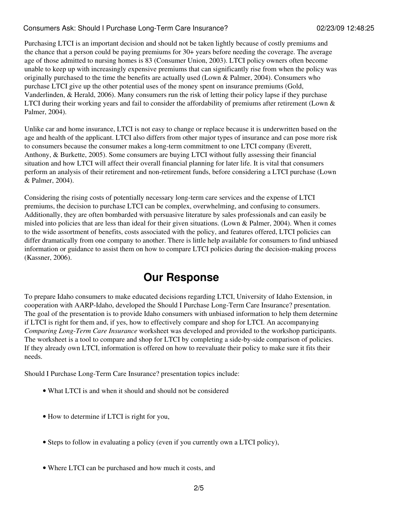#### Consumers Ask: Should I Purchase Long-Term Care Insurance? 02/23/09 12:48:25

Purchasing LTCI is an important decision and should not be taken lightly because of costly premiums and the chance that a person could be paying premiums for 30+ years before needing the coverage. The average age of those admitted to nursing homes is 83 (Consumer Union, 2003). LTCI policy owners often become unable to keep up with increasingly expensive premiums that can significantly rise from when the policy was originally purchased to the time the benefits are actually used (Lown  $\&$  Palmer, 2004). Consumers who purchase LTCI give up the other potential uses of the money spent on insurance premiums (Gold, Vanderlinden, & Herald, 2006). Many consumers run the risk of letting their policy lapse if they purchase LTCI during their working years and fail to consider the affordability of premiums after retirement (Lown & Palmer, 2004).

Unlike car and home insurance, LTCI is not easy to change or replace because it is underwritten based on the age and health of the applicant. LTCI also differs from other major types of insurance and can pose more risk to consumers because the consumer makes a long-term commitment to one LTCI company (Everett, Anthony, & Burkette, 2005). Some consumers are buying LTCI without fully assessing their financial situation and how LTCI will affect their overall financial planning for later life. It is vital that consumers perform an analysis of their retirement and non-retirement funds, before considering a LTCI purchase (Lown & Palmer, 2004).

Considering the rising costs of potentially necessary long-term care services and the expense of LTCI premiums, the decision to purchase LTCI can be complex, overwhelming, and confusing to consumers. Additionally, they are often bombarded with persuasive literature by sales professionals and can easily be misled into policies that are less than ideal for their given situations. (Lown & Palmer, 2004). When it comes to the wide assortment of benefits, costs associated with the policy, and features offered, LTCI policies can differ dramatically from one company to another. There is little help available for consumers to find unbiased information or guidance to assist them on how to compare LTCI policies during the decision-making process (Kassner, 2006).

### **Our Response**

To prepare Idaho consumers to make educated decisions regarding LTCI, University of Idaho Extension, in cooperation with AARP-Idaho, developed the Should I Purchase Long-Term Care Insurance? presentation. The goal of the presentation is to provide Idaho consumers with unbiased information to help them determine if LTCI is right for them and, if yes, how to effectively compare and shop for LTCI. An accompanying *Comparing Long-Term Care Insurance* worksheet was developed and provided to the workshop participants. The worksheet is a tool to compare and shop for LTCI by completing a side-by-side comparison of policies. If they already own LTCI, information is offered on how to reevaluate their policy to make sure it fits their needs.

Should I Purchase Long-Term Care Insurance? presentation topics include:

- What LTCI is and when it should and should not be considered
- How to determine if LTCI is right for you,
- Steps to follow in evaluating a policy (even if you currently own a LTCI policy),
- Where LTCI can be purchased and how much it costs, and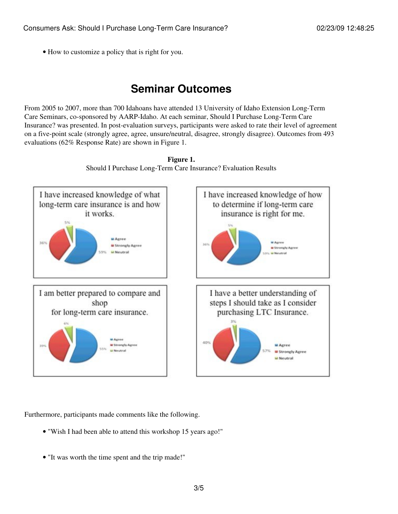• How to customize a policy that is right for you.

### **Seminar Outcomes**

From 2005 to 2007, more than 700 Idahoans have attended 13 University of Idaho Extension Long-Term Care Seminars, co-sponsored by AARP-Idaho. At each seminar, Should I Purchase Long-Term Care Insurance? was presented. In post-evaluation surveys, participants were asked to rate their level of agreement on a five-point scale (strongly agree, agree, unsure/neutral, disagree, strongly disagree). Outcomes from 493 evaluations (62% Response Rate) are shown in Figure 1.



**Figure 1.** Should I Purchase Long-Term Care Insurance? Evaluation Results

Furthermore, participants made comments like the following.

- "Wish I had been able to attend this workshop 15 years ago!"
- "It was worth the time spent and the trip made!"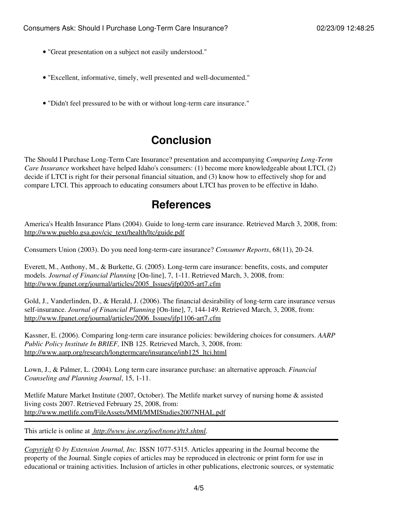- "Great presentation on a subject not easily understood."
- "Excellent, informative, timely, well presented and well-documented."
- "Didn't feel pressured to be with or without long-term care insurance."

## **Conclusion**

The Should I Purchase Long-Term Care Insurance? presentation and accompanying *Comparing Long-Term Care Insurance* worksheet have helped Idaho's consumers: (1) become more knowledgeable about LTCI, (2) decide if LTCI is right for their personal financial situation, and (3) know how to effectively shop for and compare LTCI. This approach to educating consumers about LTCI has proven to be effective in Idaho.

### **References**

America's Health Insurance Plans (2004). Guide to long-term care insurance. Retrieved March 3, 2008, from: [http://www.pueblo.gsa.gov/cic\\_text/health/ltc/guide.pdf](http://www.pueblo.gsa.gov/cic_text/health/ltc/guide.pdf)

Consumers Union (2003). Do you need long-term-care insurance? *Consumer Reports*, 68(11), 20-24.

Everett, M., Anthony, M., & Burkette, G. (2005). Long-term care insurance: benefits, costs, and computer models. *Journal of Financial Planning* [On-line], 7, 1-11. Retrieved March, 3, 2008, from: [http://www.fpanet.org/journal/articles/2005\\_Issues/jfp0205-art7.cfm](http://www.fpanet.org/journal/articles/2005_Issues/jfp0205-art7.cfm)

Gold, J., Vanderlinden, D., & Herald, J. (2006). The financial desirability of long-term care insurance versus self-insurance. *Journal of Financial Planning* [On-line], 7, 144-149. Retrieved March, 3, 2008, from: [http://www.fpanet.org/journal/articles/2006\\_Issues/jfp1106-art7.cfm](http://www.fpanet.org/journal/articles/2006_Issues/jfp1106-art7.cfm)

Kassner, E. (2006). Comparing long-term care insurance policies: bewildering choices for consumers. *AARP Public Policy Institute In BRIEF,* INB 125. Retrieved March, 3, 2008, from: [http://www.aarp.org/research/longtermcare/insurance/inb125\\_ltci.html](http://www.aarp.org/research/longtermcare/insurance/inb125_ltci.html)

Lown, J., & Palmer, L. (2004). Long term care insurance purchase: an alternative approach. *Financial Counseling and Planning Journal*, 15, 1-11.

Metlife Mature Market Institute (2007, October). The Metlife market survey of nursing home & assisted living costs 2007. Retrieved February 25, 2008, from: <http://www.metlife.com/FileAssets/MMI/MMIStudies2007NHAL.pdf>

This article is online at *[http://www.joe.org/joe/\(none\)/tt3.shtml](http://www.joe.org/joe/(none)/tt3.shtml)*.

*[Copyright](http://www.joe.org:80/joe/2009february/../../copyright.html) © by Extension Journal, Inc.* ISSN 1077-5315. Articles appearing in the Journal become the property of the Journal. Single copies of articles may be reproduced in electronic or print form for use in educational or training activities. Inclusion of articles in other publications, electronic sources, or systematic